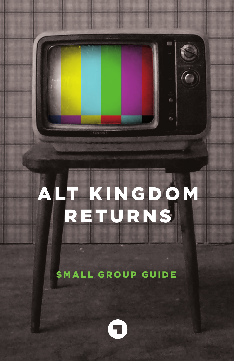# ALT KINGDOM RETURNS

SMALL GROUP GUIDE

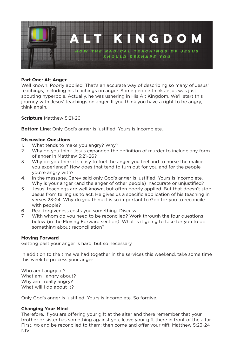

# **Part One: Alt Anger**

Well known. Poorly applied. That's an accurate way of describing so many of Jesus' teachings, including his teachings on anger. Some people think Jesus was just spouting hyperbole. Actually, he was ushering in His Alt Kingdom. We'll start this journey with Jesus' teachings on anger. If you think you have a right to be angry, think again.

**Scripture** Matthew 5:21-26

**Bottom Line**: Only God's anger is justified. Yours is incomplete.

# **Discussion Questions**

- 1. What tends to make you angry? Why?
- 2. Why do you think Jesus expanded the definition of murder to include any form of anger in Matthew 5:21-26?
- 3. Why do you think it's easy to fuel the anger you feel and to nurse the malice you experience? How does that tend to turn out for you and for the people you're angry with?
- 4. In the message, Carey said only God's anger is justified. Yours is incomplete. Why is your anger (and the anger of other people) inaccurate or unjustified?
- 5. Jesus' teachings are well known, but often poorly applied. But that doesn't stop Jesus from telling us to act. He gives us a specific application of his teaching in verses 23-24. Why do you think it is so important to God for you to reconcile with people?
- 6. Real forgiveness costs you something. Discuss.
- 7. With whom do you need to be reconciled? Work through the four questions below (in the Moving Forward section). What is it going to take for you to do something about reconciliation?

#### **Moving Forward**

Getting past your anger is hard, but so necessary.

In addition to the time we had together in the services this weekend, take some time this week to process your anger.

Who am I angry at? What am I angry about? Why am I really angry? What will I do about it?

Only God's anger is justified. Yours is incomplete. So forgive.

# **Changing Your Mind**

Therefore, if you are offering your gift at the altar and there remember that your brother or sister has something against you, leave your gift there in front of the altar. First, go and be reconciled to them; then come and offer your gift. Matthew 5:23-24 NIV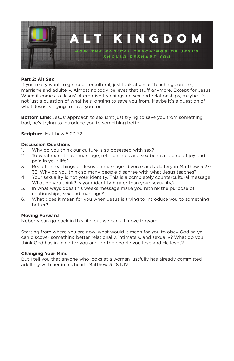

# **Part 2: Alt Sex**

If you really want to get countercultural, just look at Jesus' teachings on sex, marriage and adultery. Almost nobody believes that stuff anymore. Except for Jesus. When it comes to Jesus' alternative teachings on sex and relationships, maybe it's not just a question of what he's longing to save you from. Maybe it's a question of what Jesus is trying to save you for.

**Bottom Line**: Jesus' approach to sex isn't just trying to save you from something bad, he's trying to introduce you to something better.

#### **Scripture**: Matthew 5:27-32

#### **Discussion Questions**

- 1. Why do you think our culture is so obsessed with sex?
- 2. To what extent have marriage, relationships and sex been a source of joy and pain in your life?
- 3. Read the teachings of Jesus on marriage, divorce and adultery in Matthew 5:27- 32. Why do you think so many people disagree with what Jesus teaches?
- 4. Your sexuality is not your identity. This is a completely countercultural message. What do you think? Is your identity bigger than your sexuality,?
- 5. In what ways does this weeks message make you rethink the purpose of relationships, sex and marriage?
- 6. What does it mean for you when Jesus is trying to introduce you to something better?

# **Moving Forward**

Nobody can go back in this life, but we can all move forward.

Starting from where you are now, what would it mean for you to obey God so you can discover something better relationally, intimately, and sexually? What do you think God has in mind for you and for the people you love and He loves?

#### **Changing Your Mind**

But I tell you that anyone who looks at a woman lustfully has already committed adultery with her in his heart. Matthew 5:28 NIV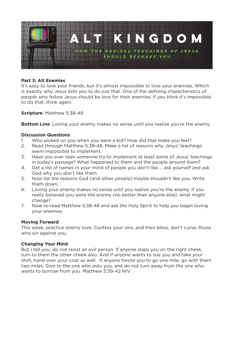

# **Part 3: Alt Enemies**

It's easy to love your friends, but it's almost impossible to love your enemies. Which is exactly why Jesus tells you to do just that. One of the defining characteristics of people who follow Jesus should be love for their enemies. If you think it's impossible to do that, think again.

**Scripture**: Matthew 5:38-48

**Bottom Line**: Loving your enemy makes no sense until you realize you're the enemy.

#### **Discussion Questions**

- 1. Who picked on you when you were a kid? How did that make you feel?
- 2. Read through Matthew 5:38-48. Make a list of reasons why Jesus' teachings seem impossible to implement.
- 3. Have you ever seen someone try to implement at least some of Jesus' teachings in today's passage? What happened to them and the people around them?
- 4. Get a list of names in your mind of people you don't like … ask yourself and ask God why you don't like them.
- 5. Now list the reasons God (and other people) maybe shouldn't like you. Write them down.
- 6. Loving your enemy makes no sense until you realize you're the enemy. If you really believed you were the enemy (no better than anyone else), what might change?
- 7. Now re-read Matthew 5:38-48 and ask the Holy Spirit to help you begin loving your enemies.

#### **Moving Forward**

This week, practice enemy love. Confess your sins, and then bless, don't curse, those who sin against you.

# **Changing Your Mind**

But I tell you, do not resist an evil person. If anyone slaps you on the right cheek, turn to them the other cheek also. And if anyone wants to sue you and take your shirt, hand over your coat as well. If anyone forces you to go one mile, go with them two miles. Give to the one who asks you, and do not turn away from the one who wants to borrow from you. Matthew 5:39-42 NIV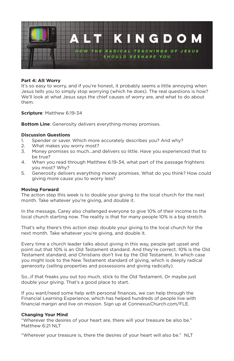

#### **Part 4: Alt Worry**

It's so easy to worry, and if you're honest, it probably seems a little annoying when Jesus tells you to simply stop worrying (which he does). The real questions is how? We'll look at what Jesus says the chief causes of worry are, and what to do about them.

**Scripture**: Matthew 6:19-34

**Bottom Line**: Generosity delivers everything money promises.

#### **Discussion Questions**

- 1. Spender or saver. Which more accurately describes you? And why?
- 2. What makes you worry most?
- 3. Money promises so much...and delivers so little. Have you experienced that to be true?
- 4. When you read through Matthew 6:19-34, what part of the passage frightens you most? Why?
- 5. Generosity delivers everything money promises. What do you think? How could giving more cause you to worry less?

#### **Moving Forward**

The action step this week is to double your giving to the local church for the next month. Take whatever you're giving, and double it.

In the message, Carey also challenged everyone to give 10% of their income to the local church starting now. The reality is that for many people 10% is a big stretch.

That's why there's this action step: double your giving to the local church for the next month. Take whatever you're giving, and double it.

Every time a church leader talks about giving in this way, people get upset and point out that 10% is an Old Testament standard. And they're correct. 10% is the Old Testament standard, and Christians don't live by the Old Testament. In which case you might look to the New Testament standard of giving, which is deeply radical generosity (selling properties and possessions and giving radically).

So...if that freaks you out too much, stick to the Old Testament. Or maybe just double your giving. That's a good place to start.

If you want/need some help with personal finances, we can help through the Financial Learning Experience, which has helped hundreds of people live with financial margin and live on mission. Sign up at ConnexusChurch.com/FLE.

# **Changing Your Mind**

"Wherever the desires of your heart are, there will your treasure be also be." Matthew 6:21 NLT

"Wherever your treasure is, there the desires of your heart will also be." NLT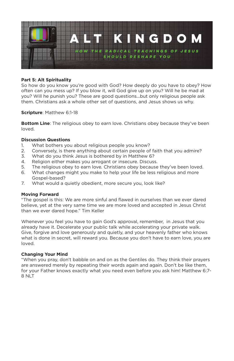

# **Part 5: Alt Spirituality**

So how do you know you're good with God? How deeply do you have to obey? How often can you mess up? If you blow it, will God give up on you? Will he be mad at you? Will he punish you? These are good questions...but only religious people ask them. Christians ask a whole other set of questions, and Jesus shows us why.

**Scripture**: Matthew 6:1-18

**Bottom Line**: The religious obey to earn love. Christians obey because they've been loved.

#### **Discussion Questions**

- 1. What bothers you about religious people you know?
- 2. Conversely, is there anything about certain people of faith that you admire?
- 3. What do you think Jesus is bothered by in Matthew 6?
- 4. Religion either makes you arrogant or insecure. Discuss.
- 5. The religious obey to earn love. Christians obey because they've been loved.
- 6. What changes might you make to help your life be less religious and more Gospel-based?
- 7. What would a quietly obedient, more secure you, look like?

#### **Moving Forward**

"The gospel is this: We are more sinful and flawed in ourselves than we ever dared believe, yet at the very same time we are more loved and accepted in Jesus Christ than we ever dared hope." Tim Keller

Whenever you feel you have to gain God's approval, remember, in Jesus that you already have it. Decelerate your public talk while accelerating your private walk. Give, forgive and love generously and quietly, and your heavenly father who knows what is done in secret, will reward you. Because you don't have to earn love, you are loved.

# **Changing Your Mind**

"When you pray, don't babble on and on as the Gentiles do. They think their prayers are answered merely by repeating their words again and again. Don't be like them, for your Father knows exactly what you need even before you ask him! Matthew 6:7- 8 NLT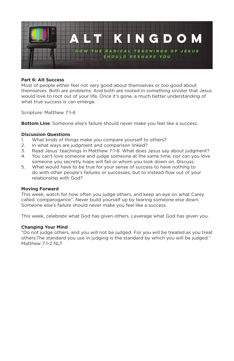

# **Part 6: Alt Success**

Most of people either feel not very good about themselves or too good about themselves. Both are problems. And both are rooted in something sinister that Jesus would love to root out of your life. Once it's gone, a much better understanding of what true success is can emerge.

Scripture: Matthew 7:1-6

**Bottom Line**: Someone else's failure should never make you feel like a success.

#### **Discussion Questions**

- 1. What kinds of things make you compare yourself to others?
- 2. In what ways are judgment and comparison linked?
- 3. Read Jesus' teachings in Matthew 7:1-6. What does Jesus say about judgment?
- 4. You can't love someone and judge someone at the same time, nor can you love someone you secretly hope will fail or whom you look down on. Discuss.
- 5. What would have to be true for your sense of success to have nothing to do with other people's failures or successes, but to instead flow out of your relationship with God?

#### **Moving Forward**

This week, watch for how often you judge others, and keep an eye on what Carey called 'comparogance". Never build yourself up by tearing someone else down. Someone else's failure should never make you feel like a success.

This week, celebrate what God has given others. Leverage what God has given you.

#### **Changing Your Mind**

"Do not judge others, and you will not be judged. For you will be treated as you treat others.The standard you use in judging is the standard by which you will be judged." Matthew 7:1-2 NLT